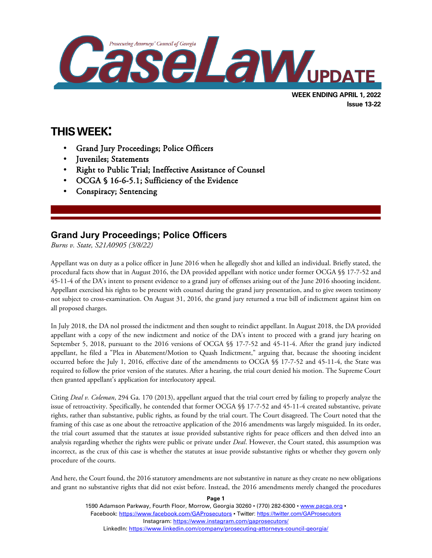

**Issue 13-22**

**THIS WEEK:**

 $\overline{a}$ 

- Grand Jury Proceedings; Police Officers
- Juveniles; Statements
- Right to Public Trial; Ineffective Assistance of Counsel
- OCGA § 16-6-5.1; Sufficiency of the Evidence
- Conspiracy; Sentencing

# **Grand Jury Proceedings; Police Officers**

*Burns v. State, S21A0905 (3/8/22)*

Appellant was on duty as a police officer in June 2016 when he allegedly shot and killed an individual. Briefly stated, the procedural facts show that in August 2016, the DA provided appellant with notice under former OCGA §§ 17-7-52 and 45-11-4 of the DA's intent to present evidence to a grand jury of offenses arising out of the June 2016 shooting incident. Appellant exercised his rights to be present with counsel during the grand jury presentation, and to give sworn testimony not subject to cross-examination. On August 31, 2016, the grand jury returned a true bill of indictment against him on all proposed charges.

In July 2018, the DA nol prossed the indictment and then sought to reindict appellant. In August 2018, the DA provided appellant with a copy of the new indictment and notice of the DA's intent to proceed with a grand jury hearing on September 5, 2018, pursuant to the 2016 versions of OCGA §§ 17-7-52 and 45-11-4. After the grand jury indicted appellant, he filed a "Plea in Abatement/Motion to Quash Indictment," arguing that, because the shooting incident occurred before the July 1, 2016, effective date of the amendments to OCGA §§ 17-7-52 and 45-11-4, the State was required to follow the prior version of the statutes. After a hearing, the trial court denied his motion. The Supreme Court then granted appellant's application for interlocutory appeal.

Citing *Deal v. Coleman*, 294 Ga. 170 (2013), appellant argued that the trial court erred by failing to properly analyze the issue of retroactivity. Specifically, he contended that former OCGA §§ 17-7-52 and 45-11-4 created substantive, private rights, rather than substantive, public rights, as found by the trial court. The Court disagreed. The Court noted that the framing of this case as one about the retroactive application of the 2016 amendments was largely misguided. In its order, the trial court assumed that the statutes at issue provided substantive rights for peace officers and then delved into an analysis regarding whether the rights were public or private under *Deal*. However, the Court stated, this assumption was incorrect, as the crux of this case is whether the statutes at issue provide substantive rights or whether they govern only procedure of the courts.

And here, the Court found, the 2016 statutory amendments are not substantive in nature as they create no new obligations and grant no substantive rights that did not exist before. Instead, the 2016 amendments merely changed the procedures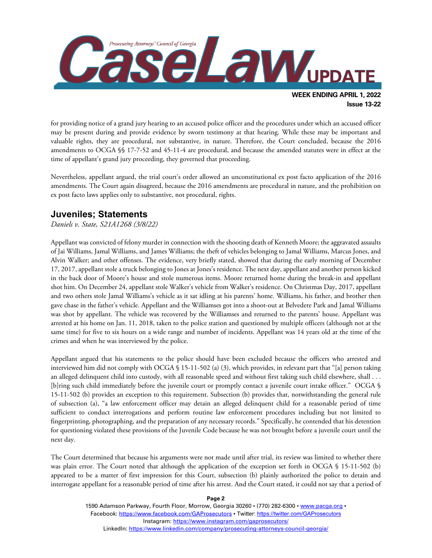

for providing notice of a grand jury hearing to an accused police officer and the procedures under which an accused officer may be present during and provide evidence by sworn testimony at that hearing. While these may be important and valuable rights, they are procedural, not substantive, in nature. Therefore, the Court concluded, because the 2016 amendments to OCGA §§ 17-7-52 and 45-11-4 are procedural, and because the amended statutes were in effect at the time of appellant's grand jury proceeding, they governed that proceeding.

Nevertheless, appellant argued, the trial court's order allowed an unconstitutional ex post facto application of the 2016 amendments. The Court again disagreed, because the 2016 amendments are procedural in nature, and the prohibition on ex post facto laws applies only to substantive, not procedural, rights.

## **Juveniles; Statements**

*Daniels v. State, S21A1268 (3/8/22)*

Appellant was convicted of felony murder in connection with the shooting death of Kenneth Moore; the aggravated assaults of Jai Williams, Jamal Williams, and James Williams; the theft of vehicles belonging to Jamal Williams, Marcus Jones, and Alvin Walker; and other offenses. The evidence, very briefly stated, showed that during the early morning of December 17, 2017, appellant stole a truck belonging to Jones at Jones's residence. The next day, appellant and another person kicked in the back door of Moore's house and stole numerous items. Moore returned home during the break-in and appellant shot him. On December 24, appellant stole Walker's vehicle from Walker's residence. On Christmas Day, 2017, appellant and two others stole Jamal Williams's vehicle as it sat idling at his parents' home. Williams, his father, and brother then gave chase in the father's vehicle. Appellant and the Williamses got into a shoot-out at Belvedere Park and Jamal Williams was shot by appellant. The vehicle was recovered by the Williamses and returned to the parents' house. Appellant was arrested at his home on Jan. 11, 2018, taken to the police station and questioned by multiple officers (although not at the same time) for five to six hours on a wide range and number of incidents. Appellant was 14 years old at the time of the crimes and when he was interviewed by the police.

Appellant argued that his statements to the police should have been excluded because the officers who arrested and interviewed him did not comply with OCGA § 15-11-502 (a) (3), which provides, in relevant part that "[a] person taking an alleged delinquent child into custody, with all reasonable speed and without first taking such child elsewhere, shall . . . [b]ring such child immediately before the juvenile court or promptly contact a juvenile court intake officer." OCGA § 15-11-502 (b) provides an exception to this requirement. Subsection (b) provides that, notwithstanding the general rule of subsection (a), "a law enforcement officer may detain an alleged delinquent child for a reasonable period of time sufficient to conduct interrogations and perform routine law enforcement procedures including but not limited to fingerprinting, photographing, and the preparation of any necessary records." Specifically, he contended that his detention for questioning violated these provisions of the Juvenile Code because he was not brought before a juvenile court until the next day.

The Court determined that because his arguments were not made until after trial, its review was limited to whether there was plain error. The Court noted that although the application of the exception set forth in OCGA § 15-11-502 (b) appeared to be a matter of first impression for this Court, subsection (b) plainly authorized the police to detain and interrogate appellant for a reasonable period of time after his arrest. And the Court stated, it could not say that a period of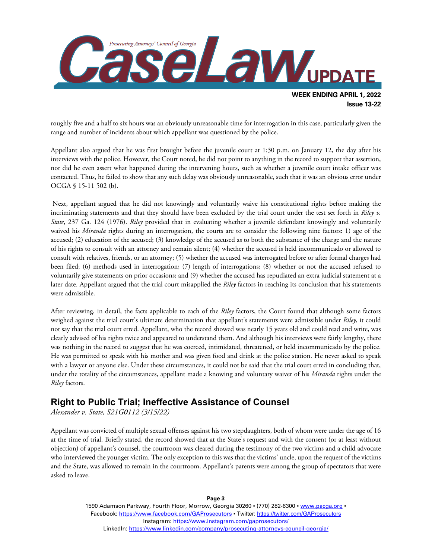

roughly five and a half to six hours was an obviously unreasonable time for interrogation in this case, particularly given the range and number of incidents about which appellant was questioned by the police.

Appellant also argued that he was first brought before the juvenile court at 1:30 p.m. on January 12, the day after his interviews with the police. However, the Court noted, he did not point to anything in the record to support that assertion, nor did he even assert what happened during the intervening hours, such as whether a juvenile court intake officer was contacted. Thus, he failed to show that any such delay was obviously unreasonable, such that it was an obvious error under OCGA § 15-11 502 (b).

Next, appellant argued that he did not knowingly and voluntarily waive his constitutional rights before making the incriminating statements and that they should have been excluded by the trial court under the test set forth in *Riley v. State*, 237 Ga. 124 (1976). *Riley* provided that in evaluating whether a juvenile defendant knowingly and voluntarily waived his *Miranda* rights during an interrogation, the courts are to consider the following nine factors: 1) age of the accused; (2) education of the accused; (3) knowledge of the accused as to both the substance of the charge and the nature of his rights to consult with an attorney and remain silent; (4) whether the accused is held incommunicado or allowed to consult with relatives, friends, or an attorney; (5) whether the accused was interrogated before or after formal charges had been filed; (6) methods used in interrogation; (7) length of interrogations; (8) whether or not the accused refused to voluntarily give statements on prior occasions; and (9) whether the accused has repudiated an extra judicial statement at a later date. Appellant argued that the trial court misapplied the *Riley* factors in reaching its conclusion that his statements were admissible.

After reviewing, in detail, the facts applicable to each of the *Riley* factors, the Court found that although some factors weighed against the trial court's ultimate determination that appellant's statements were admissible under *Riley*, it could not say that the trial court erred. Appellant, who the record showed was nearly 15 years old and could read and write, was clearly advised of his rights twice and appeared to understand them. And although his interviews were fairly lengthy, there was nothing in the record to suggest that he was coerced, intimidated, threatened, or held incommunicado by the police. He was permitted to speak with his mother and was given food and drink at the police station. He never asked to speak with a lawyer or anyone else. Under these circumstances, it could not be said that the trial court erred in concluding that, under the totality of the circumstances, appellant made a knowing and voluntary waiver of his *Miranda* rights under the *Riley* factors.

## **Right to Public Trial; Ineffective Assistance of Counsel**

*Alexander v. State, S21G0112 (3/15/22)*

Appellant was convicted of multiple sexual offenses against his two stepdaughters, both of whom were under the age of 16 at the time of trial. Briefly stated, the record showed that at the State's request and with the consent (or at least without objection) of appellant's counsel, the courtroom was cleared during the testimony of the two victims and a child advocate who interviewed the younger victim. The only exception to this was that the victims' uncle, upon the request of the victims and the State, was allowed to remain in the courtroom. Appellant's parents were among the group of spectators that were asked to leave.

> 1590 Adamson Parkway, Fourth Floor, Morrow, Georgia 30260 · (770) 282-6300 · [www.pacga.org](http://www.pacga.org/) · Facebook:<https://www.facebook.com/GAProsecutors> . Twitter[: https://twitter.com/GAProsecutors](https://twitter.com/GAProsecutors) Instagram[: https://www.instagram.com/gaprosecutors/](https://www.instagram.com/gaprosecutors/) LinkedIn:<https://www.linkedin.com/company/prosecuting-attorneys-council-georgia/>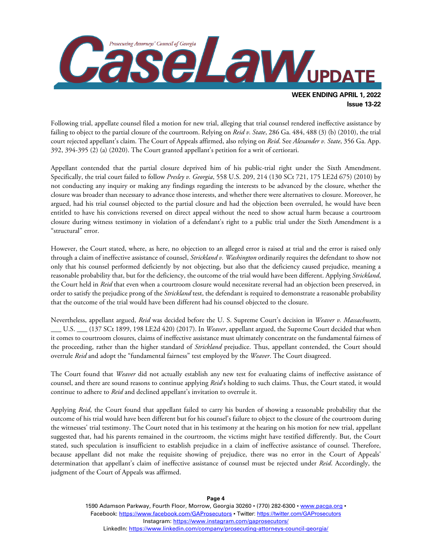

Following trial, appellate counsel filed a motion for new trial, alleging that trial counsel rendered ineffective assistance by failing to object to the partial closure of the courtroom. Relying on *Reid v. State*, 286 Ga. 484, 488 (3) (b) (2010), the trial court rejected appellant's claim. The Court of Appeals affirmed, also relying on *Reid*. See *Alexander v. State*, 356 Ga. App. 392, 394-395 (2) (a) (2020). The Court granted appellant's petition for a writ of certiorari.

Appellant contended that the partial closure deprived him of his public-trial right under the Sixth Amendment. Specifically, the trial court failed to follow *Presley v. Georgia*, 558 U.S. 209, 214 (130 SCt 721, 175 LE2d 675) (2010) by not conducting any inquiry or making any findings regarding the interests to be advanced by the closure, whether the closure was broader than necessary to advance those interests, and whether there were alternatives to closure. Moreover, he argued, had his trial counsel objected to the partial closure and had the objection been overruled, he would have been entitled to have his convictions reversed on direct appeal without the need to show actual harm because a courtroom closure during witness testimony in violation of a defendant's right to a public trial under the Sixth Amendment is a "structural" error.

However, the Court stated, where, as here, no objection to an alleged error is raised at trial and the error is raised only through a claim of ineffective assistance of counsel, *Strickland v. Washington* ordinarily requires the defendant to show not only that his counsel performed deficiently by not objecting, but also that the deficiency caused prejudice, meaning a reasonable probability that, but for the deficiency, the outcome of the trial would have been different. Applying *Strickland*, the Court held in *Reid* that even when a courtroom closure would necessitate reversal had an objection been preserved, in order to satisfy the prejudice prong of the *Strickland* test, the defendant is required to demonstrate a reasonable probability that the outcome of the trial would have been different had his counsel objected to the closure.

Nevertheless, appellant argued, *Reid* was decided before the U. S. Supreme Court's decision in *Weaver v. Massachusetts*, \_\_\_ U.S. \_\_\_ (137 SCt 1899, 198 LE2d 420) (2017). In *Weaver*, appellant argued, the Supreme Court decided that when it comes to courtroom closures, claims of ineffective assistance must ultimately concentrate on the fundamental fairness of the proceeding, rather than the higher standard of *Strickland* prejudice. Thus, appellant contended, the Court should overrule *Reid* and adopt the "fundamental fairness" test employed by the *Weaver*. The Court disagreed.

The Court found that *Weaver* did not actually establish any new test for evaluating claims of ineffective assistance of counsel, and there are sound reasons to continue applying *Reid*'s holding to such claims. Thus, the Court stated, it would continue to adhere to *Reid* and declined appellant's invitation to overrule it.

Applying *Reid*, the Court found that appellant failed to carry his burden of showing a reasonable probability that the outcome of his trial would have been different but for his counsel's failure to object to the closure of the courtroom during the witnesses' trial testimony. The Court noted that in his testimony at the hearing on his motion for new trial, appellant suggested that, had his parents remained in the courtroom, the victims might have testified differently. But, the Court stated, such speculation is insufficient to establish prejudice in a claim of ineffective assistance of counsel. Therefore, because appellant did not make the requisite showing of prejudice, there was no error in the Court of Appeals' determination that appellant's claim of ineffective assistance of counsel must be rejected under *Reid*. Accordingly, the judgment of the Court of Appeals was affirmed.

> 1590 Adamson Parkway, Fourth Floor, Morrow, Georgia 30260 · (770) 282-6300 · www.pacqa.org · Facebook:<https://www.facebook.com/GAProsecutors> . Twitter[: https://twitter.com/GAProsecutors](https://twitter.com/GAProsecutors) Instagram[: https://www.instagram.com/gaprosecutors/](https://www.instagram.com/gaprosecutors/) LinkedIn:<https://www.linkedin.com/company/prosecuting-attorneys-council-georgia/>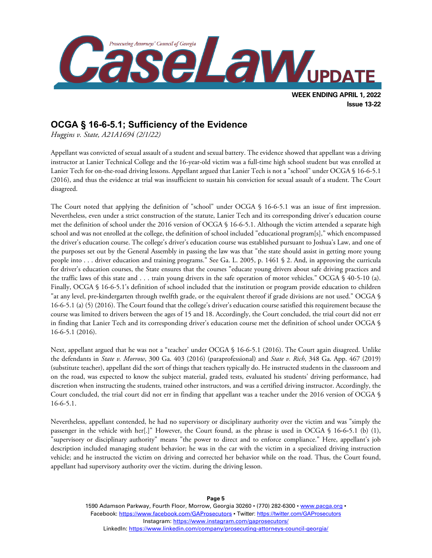

**Issue 13-22**

# **OCGA § 16-6-5.1; Sufficiency of the Evidence**

*Huggins v. State, A21A1694 (2/1/22)*

Appellant was convicted of sexual assault of a student and sexual battery. The evidence showed that appellant was a driving instructor at Lanier Technical College and the 16-year-old victim was a full-time high school student but was enrolled at Lanier Tech for on-the-road driving lessons. Appellant argued that Lanier Tech is not a "school" under OCGA § 16-6-5.1 (2016), and thus the evidence at trial was insufficient to sustain his conviction for sexual assault of a student. The Court disagreed.

The Court noted that applying the definition of "school" under OCGA § 16-6-5.1 was an issue of first impression. Nevertheless, even under a strict construction of the statute, Lanier Tech and its corresponding driver's education course met the definition of school under the 2016 version of OCGA § 16-6-5.1. Although the victim attended a separate high school and was not enrolled at the college, the definition of school included "educational program[s]," which encompassed the driver's education course. The college's driver's education course was established pursuant to Joshua's Law, and one of the purposes set out by the General Assembly in passing the law was that "the state should assist in getting more young people into . . . driver education and training programs." See Ga. L. 2005, p. 1461 § 2. And, in approving the curricula for driver's education courses, the State ensures that the courses "educate young drivers about safe driving practices and the traffic laws of this state and . . . train young drivers in the safe operation of motor vehicles." OCGA § 40-5-10 (a). Finally, OCGA § 16-6-5.1's definition of school included that the institution or program provide education to children "at any level, pre-kindergarten through twelfth grade, or the equivalent thereof if grade divisions are not used." OCGA § 16-6-5.1 (a) (5) (2016). The Court found that the college's driver's education course satisfied this requirement because the course was limited to drivers between the ages of 15 and 18. Accordingly, the Court concluded, the trial court did not err in finding that Lanier Tech and its corresponding driver's education course met the definition of school under OCGA § 16-6-5.1 (2016).

Next, appellant argued that he was not a "teacher' under OCGA § 16-6-5.1 (2016). The Court again disagreed. Unlike the defendants in *State v. Morrow*, 300 Ga. 403 (2016) (paraprofessional) and *State v. Rich*, 348 Ga. App. 467 (2019) (substitute teacher), appellant did the sort of things that teachers typically do. He instructed students in the classroom and on the road, was expected to know the subject material, graded tests, evaluated his students' driving performance, had discretion when instructing the students, trained other instructors, and was a certified driving instructor. Accordingly, the Court concluded, the trial court did not err in finding that appellant was a teacher under the 2016 version of OCGA § 16-6-5.1.

Nevertheless, appellant contended, he had no supervisory or disciplinary authority over the victim and was "simply the passenger in the vehicle with her[.]" However, the Court found, as the phrase is used in OCGA § 16-6-5.1 (b) (1), "supervisory or disciplinary authority" means "the power to direct and to enforce compliance." Here, appellant's job description included managing student behavior; he was in the car with the victim in a specialized driving instruction vehicle; and he instructed the victim on driving and corrected her behavior while on the road. Thus, the Court found, appellant had supervisory authority over the victim. during the driving lesson.

> 1590 Adamson Parkway, Fourth Floor, Morrow, Georgia 30260 · (770) 282-6300 · [www.pacga.org](http://www.pacga.org/) · Facebook:<https://www.facebook.com/GAProsecutors> . Twitter[: https://twitter.com/GAProsecutors](https://twitter.com/GAProsecutors) Instagram[: https://www.instagram.com/gaprosecutors/](https://www.instagram.com/gaprosecutors/) LinkedIn:<https://www.linkedin.com/company/prosecuting-attorneys-council-georgia/>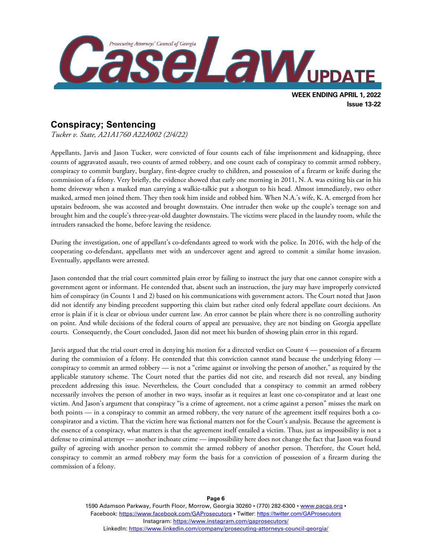

# **Conspiracy; Sentencing**

*Tucker v. State, A21A1760 A22A002 (2/4/22)*

Appellants, Jarvis and Jason Tucker, were convicted of four counts each of false imprisonment and kidnapping, three counts of aggravated assault, two counts of armed robbery, and one count each of conspiracy to commit armed robbery, conspiracy to commit burglary, burglary, first-degree cruelty to children, and possession of a firearm or knife during the commission of a felony. Very briefly, the evidence showed that early one morning in 2011, N. A. was exiting his car in his home driveway when a masked man carrying a walkie-talkie put a shotgun to his head. Almost immediately, two other masked, armed men joined them. They then took him inside and robbed him. When N.A.'s wife, K. A. emerged from her upstairs bedroom, she was accosted and brought downstairs. One intruder then woke up the couple's teenage son and brought him and the couple's three-year-old daughter downstairs. The victims were placed in the laundry room, while the intruders ransacked the home, before leaving the residence.

During the investigation, one of appellant's co-defendants agreed to work with the police. In 2016, with the help of the cooperating co-defendant, appellants met with an undercover agent and agreed to commit a similar home invasion. Eventually, appellants were arrested.

Jason contended that the trial court committed plain error by failing to instruct the jury that one cannot conspire with a government agent or informant. He contended that, absent such an instruction, the jury may have improperly convicted him of conspiracy (in Counts 1 and 2) based on his communications with government actors. The Court noted that Jason did not identify any binding precedent supporting this claim but rather cited only federal appellate court decisions. An error is plain if it is clear or obvious under current law. An error cannot be plain where there is no controlling authority on point. And while decisions of the federal courts of appeal are persuasive, they are not binding on Georgia appellate courts. Consequently, the Court concluded, Jason did not meet his burden of showing plain error in this regard.

Jarvis argued that the trial court erred in denying his motion for a directed verdict on Count 4 — possession of a firearm during the commission of a felony. He contended that this conviction cannot stand because the underlying felony conspiracy to commit an armed robbery — is not a "crime against or involving the person of another," as required by the applicable statutory scheme. The Court noted that the parties did not cite, and research did not reveal, any binding precedent addressing this issue. Nevertheless, the Court concluded that a conspiracy to commit an armed robbery necessarily involves the person of another in two ways, insofar as it requires at least one co-conspirator and at least one victim. And Jason's argument that conspiracy "is a crime of agreement, not a crime against a person" misses the mark on both points — in a conspiracy to commit an armed robbery, the very nature of the agreement itself requires both a coconspirator and a victim. That the victim here was fictional matters not for the Court's analysis. Because the agreement is the essence of a conspiracy, what matters is that the agreement itself entailed a victim. Thus, just as impossibility is not a defense to criminal attempt — another inchoate crime — impossibility here does not change the fact that Jason was found guilty of agreeing with another person to commit the armed robbery of another person. Therefore, the Court held, conspiracy to commit an armed robbery may form the basis for a conviction of possession of a firearm during the commission of a felony.

> 1590 Adamson Parkway, Fourth Floor, Morrow, Georgia 30260 · (770) 282-6300 · www.pacqa.org · Facebook:<https://www.facebook.com/GAProsecutors> . Twitter[: https://twitter.com/GAProsecutors](https://twitter.com/GAProsecutors) Instagram[: https://www.instagram.com/gaprosecutors/](https://www.instagram.com/gaprosecutors/) LinkedIn:<https://www.linkedin.com/company/prosecuting-attorneys-council-georgia/>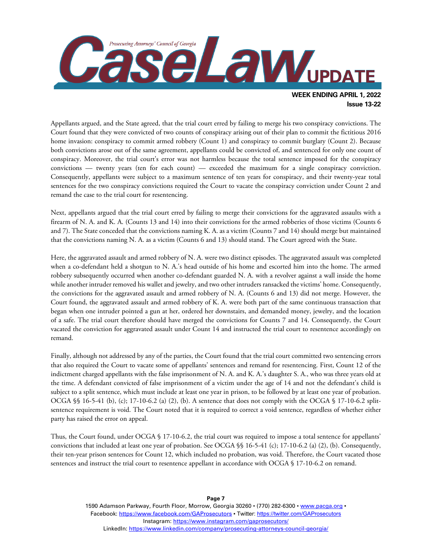

Appellants argued, and the State agreed, that the trial court erred by failing to merge his two conspiracy convictions. The Court found that they were convicted of two counts of conspiracy arising out of their plan to commit the fictitious 2016 home invasion: conspiracy to commit armed robbery (Count 1) and conspiracy to commit burglary (Count 2). Because both convictions arose out of the same agreement, appellants could be convicted of, and sentenced for only one count of conspiracy. Moreover, the trial court's error was not harmless because the total sentence imposed for the conspiracy convictions — twenty years (ten for each count) — exceeded the maximum for a single conspiracy conviction. Consequently, appellants were subject to a maximum sentence of ten years for conspiracy, and their twenty-year total sentences for the two conspiracy convictions required the Court to vacate the conspiracy conviction under Count 2 and remand the case to the trial court for resentencing.

Next, appellants argued that the trial court erred by failing to merge their convictions for the aggravated assaults with a firearm of N. A. and K. A. (Counts 13 and 14) into their convictions for the armed robberies of those victims (Counts 6 and 7). The State conceded that the convictions naming K. A. as a victim (Counts 7 and 14) should merge but maintained that the convictions naming N. A. as a victim (Counts 6 and 13) should stand. The Court agreed with the State.

Here, the aggravated assault and armed robbery of N. A. were two distinct episodes. The aggravated assault was completed when a co-defendant held a shotgun to N. A.'s head outside of his home and escorted him into the home. The armed robbery subsequently occurred when another co-defendant guarded N. A. with a revolver against a wall inside the home while another intruder removed his wallet and jewelry, and two other intruders ransacked the victims' home. Consequently, the convictions for the aggravated assault and armed robbery of N. A. (Counts 6 and 13) did not merge. However, the Court found, the aggravated assault and armed robbery of K. A. were both part of the same continuous transaction that began when one intruder pointed a gun at her, ordered her downstairs, and demanded money, jewelry, and the location of a safe. The trial court therefore should have merged the convictions for Counts 7 and 14. Consequently, the Court vacated the conviction for aggravated assault under Count 14 and instructed the trial court to resentence accordingly on remand.

Finally, although not addressed by any of the parties, the Court found that the trial court committed two sentencing errors that also required the Court to vacate some of appellants' sentences and remand for resentencing. First, Count 12 of the indictment charged appellants with the false imprisonment of N. A. and K. A.'s daughter S. A., who was three years old at the time. A defendant convicted of false imprisonment of a victim under the age of 14 and not the defendant's child is subject to a split sentence, which must include at least one year in prison, to be followed by at least one year of probation. OCGA §§ 16-5-41 (b), (c); 17-10-6.2 (a) (2), (b). A sentence that does not comply with the OCGA § 17-10-6.2 splitsentence requirement is void. The Court noted that it is required to correct a void sentence, regardless of whether either party has raised the error on appeal.

Thus, the Court found, under OCGA § 17-10-6.2, the trial court was required to impose a total sentence for appellants' convictions that included at least one year of probation. See OCGA §§ 16-5-41 (c); 17-10-6.2 (a) (2), (b). Consequently, their ten-year prison sentences for Count 12, which included no probation, was void. Therefore, the Court vacated those sentences and instruct the trial court to resentence appellant in accordance with OCGA § 17-10-6.2 on remand.

> 1590 Adamson Parkway, Fourth Floor, Morrow, Georgia 30260 · (770) 282-6300 · www.pacqa.org · Facebook:<https://www.facebook.com/GAProsecutors> . Twitter[: https://twitter.com/GAProsecutors](https://twitter.com/GAProsecutors) Instagram[: https://www.instagram.com/gaprosecutors/](https://www.instagram.com/gaprosecutors/) LinkedIn:<https://www.linkedin.com/company/prosecuting-attorneys-council-georgia/>